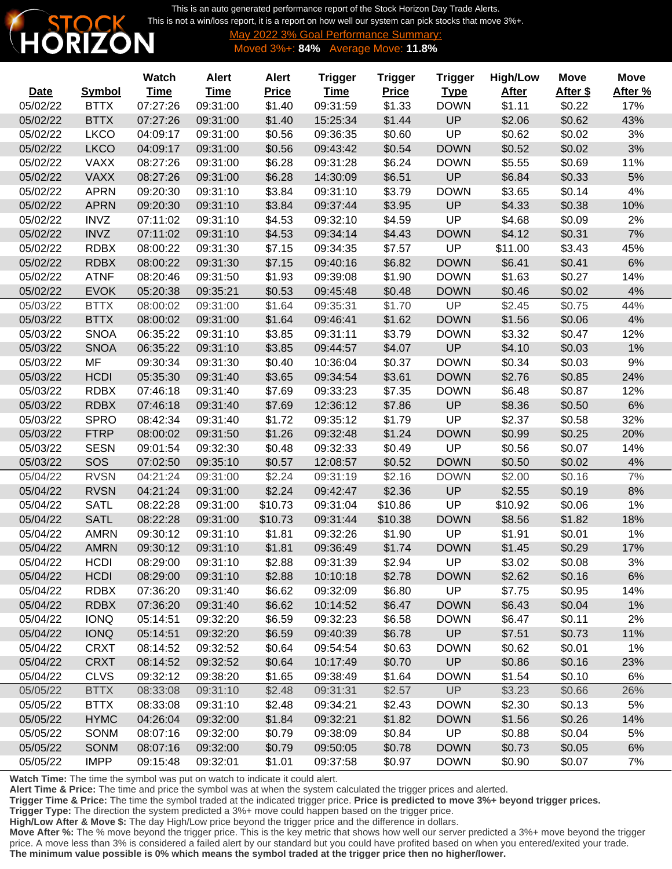This is an auto generated performance report of the Stock Horizon Day Trade Alerts. [This is not a win/loss report, it is a report on how well our system can pick stocks that move 3%+.](http://www.stockhorizon.com)



**6 Goal Performance Summary:** Moved 3%+: **84%** Average Move: **11.8%**

|             |               | Watch       | <b>Alert</b> | <b>Alert</b> | <b>Trigger</b> | <b>Trigger</b> | <b>Trigger</b> | <b>High/Low</b> | <b>Move</b> | <b>Move</b> |
|-------------|---------------|-------------|--------------|--------------|----------------|----------------|----------------|-----------------|-------------|-------------|
| <b>Date</b> | <b>Symbol</b> | <b>Time</b> | <u>Time</u>  | <b>Price</b> | <b>Time</b>    | <b>Price</b>   | <b>Type</b>    | <b>After</b>    | After \$    | After %     |
| 05/02/22    | <b>BTTX</b>   | 07:27:26    | 09:31:00     | \$1.40       | 09:31:59       | \$1.33         | <b>DOWN</b>    | \$1.11          | \$0.22      | 17%         |
| 05/02/22    | <b>BTTX</b>   | 07:27:26    | 09:31:00     | \$1.40       | 15:25:34       | \$1.44         | <b>UP</b>      | \$2.06          | \$0.62      | 43%         |
| 05/02/22    | <b>LKCO</b>   | 04:09:17    | 09:31:00     | \$0.56       | 09:36:35       | \$0.60         | <b>UP</b>      | \$0.62          | \$0.02      | 3%          |
| 05/02/22    | <b>LKCO</b>   | 04:09:17    | 09:31:00     | \$0.56       | 09:43:42       | \$0.54         | <b>DOWN</b>    | \$0.52          | \$0.02      | 3%          |
| 05/02/22    | <b>VAXX</b>   | 08:27:26    | 09:31:00     | \$6.28       | 09:31:28       | \$6.24         | <b>DOWN</b>    | \$5.55          | \$0.69      | 11%         |
| 05/02/22    | <b>VAXX</b>   | 08:27:26    | 09:31:00     | \$6.28       | 14:30:09       | \$6.51         | UP             | \$6.84          | \$0.33      | 5%          |
| 05/02/22    | <b>APRN</b>   | 09:20:30    | 09:31:10     | \$3.84       | 09:31:10       | \$3.79         | <b>DOWN</b>    | \$3.65          | \$0.14      | 4%          |
| 05/02/22    | <b>APRN</b>   | 09:20:30    | 09:31:10     | \$3.84       | 09:37:44       | \$3.95         | UP             | \$4.33          | \$0.38      | 10%         |
| 05/02/22    | <b>INVZ</b>   | 07:11:02    | 09:31:10     | \$4.53       | 09:32:10       | \$4.59         | <b>UP</b>      | \$4.68          | \$0.09      | 2%          |
| 05/02/22    | <b>INVZ</b>   | 07:11:02    | 09:31:10     | \$4.53       | 09:34:14       | \$4.43         | <b>DOWN</b>    | \$4.12          | \$0.31      | 7%          |
| 05/02/22    | <b>RDBX</b>   | 08:00:22    | 09:31:30     | \$7.15       | 09:34:35       | \$7.57         | UP             | \$11.00         | \$3.43      | 45%         |
| 05/02/22    | <b>RDBX</b>   | 08:00:22    | 09:31:30     | \$7.15       | 09:40:16       | \$6.82         | <b>DOWN</b>    | \$6.41          | \$0.41      | 6%          |
| 05/02/22    | <b>ATNF</b>   | 08:20:46    | 09:31:50     | \$1.93       | 09:39:08       | \$1.90         | <b>DOWN</b>    | \$1.63          | \$0.27      | 14%         |
| 05/02/22    | <b>EVOK</b>   | 05:20:38    | 09:35:21     | \$0.53       | 09:45:48       | \$0.48         | <b>DOWN</b>    | \$0.46          | \$0.02      | 4%          |
| 05/03/22    | <b>BTTX</b>   | 08:00:02    | 09:31:00     | \$1.64       | 09:35:31       | \$1.70         | UP             | \$2.45          | \$0.75      | 44%         |
| 05/03/22    | <b>BTTX</b>   | 08:00:02    | 09:31:00     | \$1.64       | 09:46:41       | \$1.62         | <b>DOWN</b>    | \$1.56          | \$0.06      | 4%          |
| 05/03/22    | <b>SNOA</b>   | 06:35:22    | 09:31:10     | \$3.85       | 09:31:11       | \$3.79         | <b>DOWN</b>    | \$3.32          | \$0.47      | 12%         |
| 05/03/22    | <b>SNOA</b>   | 06:35:22    | 09:31:10     | \$3.85       | 09:44:57       | \$4.07         | UP             | \$4.10          | \$0.03      | 1%          |
| 05/03/22    | MF            | 09:30:34    | 09:31:30     | \$0.40       | 10:36:04       | \$0.37         | <b>DOWN</b>    | \$0.34          | \$0.03      | 9%          |
| 05/03/22    | <b>HCDI</b>   | 05:35:30    | 09:31:40     | \$3.65       | 09:34:54       | \$3.61         | <b>DOWN</b>    | \$2.76          | \$0.85      | 24%         |
| 05/03/22    | <b>RDBX</b>   | 07:46:18    | 09:31:40     | \$7.69       | 09:33:23       | \$7.35         | <b>DOWN</b>    | \$6.48          | \$0.87      | 12%         |
| 05/03/22    | <b>RDBX</b>   | 07:46:18    | 09:31:40     | \$7.69       | 12:36:12       | \$7.86         | <b>UP</b>      | \$8.36          | \$0.50      | 6%          |
| 05/03/22    | <b>SPRO</b>   | 08:42:34    | 09:31:40     | \$1.72       | 09:35:12       | \$1.79         | <b>UP</b>      | \$2.37          | \$0.58      | 32%         |
| 05/03/22    | <b>FTRP</b>   | 08:00:02    | 09:31:50     | \$1.26       | 09:32:48       | \$1.24         | <b>DOWN</b>    | \$0.99          | \$0.25      | 20%         |
| 05/03/22    | <b>SESN</b>   | 09:01:54    | 09:32:30     | \$0.48       | 09:32:33       | \$0.49         | UP             | \$0.56          | \$0.07      | 14%         |
| 05/03/22    | SOS           | 07:02:50    | 09:35:10     | \$0.57       | 12:08:57       | \$0.52         | <b>DOWN</b>    | \$0.50          | \$0.02      | 4%          |
| 05/04/22    | <b>RVSN</b>   | 04:21:24    | 09:31:00     | \$2.24       | 09:31:19       | \$2.16         | <b>DOWN</b>    | \$2.00          | \$0.16      | 7%          |
| 05/04/22    | <b>RVSN</b>   | 04:21:24    | 09:31:00     | \$2.24       | 09:42:47       | \$2.36         | <b>UP</b>      | \$2.55          | \$0.19      | 8%          |
| 05/04/22    | <b>SATL</b>   | 08:22:28    | 09:31:00     | \$10.73      | 09:31:04       | \$10.86        | <b>UP</b>      | \$10.92         | \$0.06      | 1%          |
| 05/04/22    | <b>SATL</b>   | 08:22:28    | 09:31:00     | \$10.73      | 09:31:44       | \$10.38        | <b>DOWN</b>    | \$8.56          | \$1.82      | 18%         |
| 05/04/22    | <b>AMRN</b>   | 09:30:12    | 09:31:10     | \$1.81       | 09:32:26       | \$1.90         | UP             | \$1.91          | \$0.01      | 1%          |
| 05/04/22    | <b>AMRN</b>   | 09:30:12    | 09:31:10     | \$1.81       | 09:36:49       | \$1.74         | <b>DOWN</b>    | \$1.45          | \$0.29      | 17%         |
| 05/04/22    | <b>HCDI</b>   | 08:29:00    | 09:31:10     | \$2.88       | 09:31:39       | \$2.94         | UP             | \$3.02          | \$0.08      | 3%          |
| 05/04/22    | <b>HCDI</b>   | 08:29:00    | 09:31:10     | \$2.88       | 10:10:18       | \$2.78         | <b>DOWN</b>    | \$2.62          | \$0.16      | 6%          |
| 05/04/22    | <b>RDBX</b>   | 07:36:20    | 09:31:40     | \$6.62       | 09:32:09       | \$6.80         | UP             | \$7.75          | \$0.95      | 14%         |
| 05/04/22    | <b>RDBX</b>   | 07:36:20    | 09:31:40     | \$6.62       | 10:14:52       | \$6.47         | <b>DOWN</b>    | \$6.43          | \$0.04      | 1%          |
| 05/04/22    | <b>IONQ</b>   | 05:14:51    | 09:32:20     | \$6.59       | 09:32:23       | \$6.58         | <b>DOWN</b>    | \$6.47          | \$0.11      | 2%          |
| 05/04/22    | <b>IONQ</b>   | 05:14:51    | 09:32:20     | \$6.59       | 09:40:39       | \$6.78         | UP             | \$7.51          | \$0.73      | 11%         |
| 05/04/22    | <b>CRXT</b>   | 08:14:52    | 09:32:52     | \$0.64       | 09:54:54       | \$0.63         | <b>DOWN</b>    | \$0.62          | \$0.01      | 1%          |
| 05/04/22    | <b>CRXT</b>   | 08:14:52    | 09:32:52     | \$0.64       | 10:17:49       | \$0.70         | <b>UP</b>      | \$0.86          | \$0.16      | 23%         |
| 05/04/22    | <b>CLVS</b>   | 09:32:12    | 09:38:20     | \$1.65       | 09:38:49       | \$1.64         | <b>DOWN</b>    | \$1.54          | \$0.10      | 6%          |
| 05/05/22    | <b>BTTX</b>   | 08:33:08    | 09:31:10     | \$2.48       | 09:31:31       | \$2.57         | UP             | \$3.23          | \$0.66      | 26%         |
| 05/05/22    | <b>BTTX</b>   | 08:33:08    | 09:31:10     | \$2.48       | 09:34:21       | \$2.43         | <b>DOWN</b>    | \$2.30          | \$0.13      | 5%          |
| 05/05/22    | <b>HYMC</b>   | 04:26:04    | 09:32:00     | \$1.84       | 09:32:21       | \$1.82         | <b>DOWN</b>    | \$1.56          | \$0.26      | 14%         |
| 05/05/22    | SONM          | 08:07:16    | 09:32:00     | \$0.79       | 09:38:09       | \$0.84         | <b>UP</b>      | \$0.88          | \$0.04      | 5%          |
| 05/05/22    | <b>SONM</b>   | 08:07:16    | 09:32:00     | \$0.79       | 09:50:05       | \$0.78         | <b>DOWN</b>    | \$0.73          | \$0.05      | 6%          |
| 05/05/22    | <b>IMPP</b>   | 09:15:48    | 09:32:01     | \$1.01       | 09:37:58       | \$0.97         | <b>DOWN</b>    | \$0.90          | \$0.07      | 7%          |

**Watch Time:** The time the symbol was put on watch to indicate it could alert.

**Alert Time & Price:** The time and price the symbol was at when the system calculated the trigger prices and alerted.

**Trigger Time & Price:** The time the symbol traded at the indicated trigger price. **Price is predicted to move 3%+ beyond trigger prices.**

**Trigger Type:** The direction the system predicted a 3%+ move could happen based on the trigger price.

**High/Low After & Move \$:** The day High/Low price beyond the trigger price and the difference in dollars.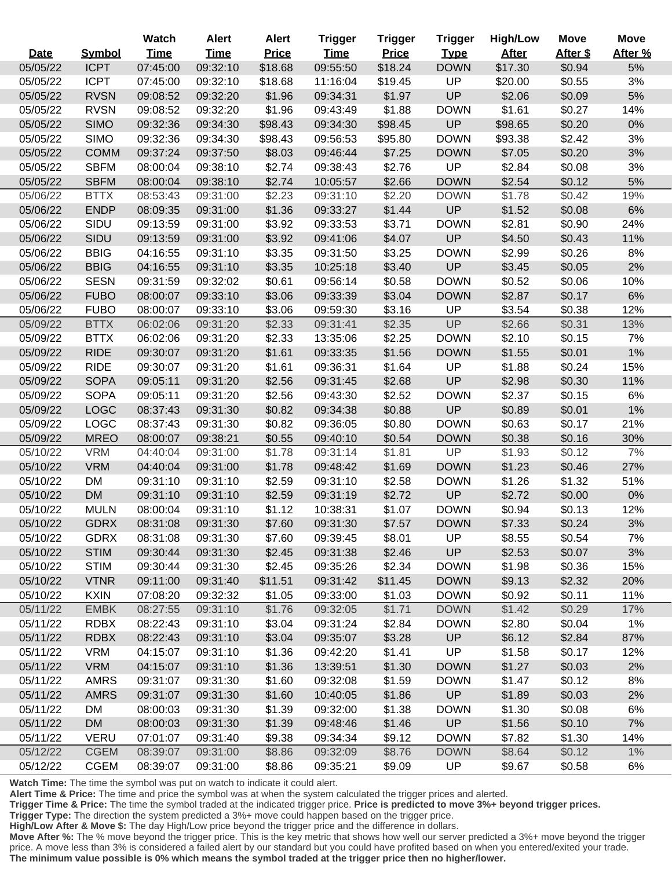|             |               | Watch       | <b>Alert</b> | <b>Alert</b> | <b>Trigger</b> | <b>Trigger</b> | <b>Trigger</b> | <b>High/Low</b> | <b>Move</b> | <b>Move</b> |
|-------------|---------------|-------------|--------------|--------------|----------------|----------------|----------------|-----------------|-------------|-------------|
| <b>Date</b> | <b>Symbol</b> | <b>Time</b> | <b>Time</b>  | <b>Price</b> | <b>Time</b>    | <b>Price</b>   | <b>Type</b>    | <b>After</b>    | After \$    | After %     |
| 05/05/22    | <b>ICPT</b>   | 07:45:00    | 09:32:10     | \$18.68      | 09:55:50       | \$18.24        | <b>DOWN</b>    | \$17.30         | \$0.94      | 5%          |
| 05/05/22    | <b>ICPT</b>   | 07:45:00    | 09:32:10     | \$18.68      | 11:16:04       | \$19.45        | UP             | \$20.00         | \$0.55      | 3%          |
| 05/05/22    | <b>RVSN</b>   | 09:08:52    | 09:32:20     | \$1.96       | 09:34:31       | \$1.97         | UP             | \$2.06          | \$0.09      | 5%          |
| 05/05/22    | <b>RVSN</b>   | 09:08:52    | 09:32:20     | \$1.96       | 09:43:49       | \$1.88         | <b>DOWN</b>    | \$1.61          | \$0.27      | 14%         |
| 05/05/22    | <b>SIMO</b>   | 09:32:36    | 09:34:30     | \$98.43      | 09:34:30       | \$98.45        | UP             | \$98.65         | \$0.20      | 0%          |
| 05/05/22    | <b>SIMO</b>   | 09:32:36    | 09:34:30     | \$98.43      | 09:56:53       | \$95.80        | <b>DOWN</b>    | \$93.38         | \$2.42      | 3%          |
| 05/05/22    | <b>COMM</b>   | 09:37:24    | 09:37:50     | \$8.03       | 09:46:44       | \$7.25         | <b>DOWN</b>    | \$7.05          | \$0.20      | 3%          |
| 05/05/22    | <b>SBFM</b>   | 08:00:04    | 09:38:10     | \$2.74       | 09:38:43       | \$2.76         | UP             | \$2.84          | \$0.08      | 3%          |
| 05/05/22    | <b>SBFM</b>   | 08:00:04    | 09:38:10     | \$2.74       | 10:05:57       | \$2.66         | <b>DOWN</b>    | \$2.54          | \$0.12      | 5%          |
| 05/06/22    | <b>BTTX</b>   | 08:53:43    | 09:31:00     | \$2.23       | 09:31:10       | \$2.20         | <b>DOWN</b>    | \$1.78          | \$0.42      | 19%         |
| 05/06/22    | <b>ENDP</b>   | 08:09:35    | 09:31:00     | \$1.36       | 09:33:27       | \$1.44         | UP             | \$1.52          | \$0.08      | 6%          |
| 05/06/22    | SIDU          | 09:13:59    | 09:31:00     | \$3.92       | 09:33:53       | \$3.71         | <b>DOWN</b>    | \$2.81          | \$0.90      | 24%         |
| 05/06/22    | SIDU          | 09:13:59    | 09:31:00     | \$3.92       | 09:41:06       | \$4.07         | UP             | \$4.50          | \$0.43      | 11%         |
| 05/06/22    | <b>BBIG</b>   | 04:16:55    | 09:31:10     | \$3.35       | 09:31:50       | \$3.25         | <b>DOWN</b>    | \$2.99          | \$0.26      | 8%          |
| 05/06/22    | <b>BBIG</b>   | 04:16:55    | 09:31:10     | \$3.35       | 10:25:18       | \$3.40         | UP             | \$3.45          | \$0.05      | 2%          |
| 05/06/22    | <b>SESN</b>   | 09:31:59    | 09:32:02     | \$0.61       | 09:56:14       | \$0.58         | <b>DOWN</b>    | \$0.52          | \$0.06      | 10%         |
| 05/06/22    | <b>FUBO</b>   | 08:00:07    | 09:33:10     | \$3.06       | 09:33:39       | \$3.04         | <b>DOWN</b>    | \$2.87          | \$0.17      | 6%          |
| 05/06/22    | <b>FUBO</b>   | 08:00:07    | 09:33:10     | \$3.06       | 09:59:30       | \$3.16         | UP             | \$3.54          | \$0.38      | 12%         |
| 05/09/22    | <b>BTTX</b>   | 06:02:06    | 09:31:20     | \$2.33       | 09:31:41       | \$2.35         | UP             | \$2.66          | \$0.31      | 13%         |
| 05/09/22    | <b>BTTX</b>   | 06:02:06    | 09:31:20     | \$2.33       | 13:35:06       | \$2.25         | <b>DOWN</b>    | \$2.10          | \$0.15      | 7%          |
| 05/09/22    | <b>RIDE</b>   | 09:30:07    | 09:31:20     | \$1.61       | 09:33:35       | \$1.56         | <b>DOWN</b>    | \$1.55          | \$0.01      | 1%          |
| 05/09/22    | <b>RIDE</b>   | 09:30:07    | 09:31:20     | \$1.61       | 09:36:31       | \$1.64         | UP             | \$1.88          | \$0.24      | 15%         |
| 05/09/22    | <b>SOPA</b>   | 09:05:11    | 09:31:20     | \$2.56       | 09:31:45       | \$2.68         | UP             | \$2.98          | \$0.30      | 11%         |
| 05/09/22    | <b>SOPA</b>   | 09:05:11    | 09:31:20     | \$2.56       | 09:43:30       | \$2.52         | <b>DOWN</b>    | \$2.37          | \$0.15      | 6%          |
| 05/09/22    | <b>LOGC</b>   | 08:37:43    | 09:31:30     | \$0.82       | 09:34:38       | \$0.88         | UP             | \$0.89          | \$0.01      | 1%          |
| 05/09/22    | <b>LOGC</b>   | 08:37:43    | 09:31:30     | \$0.82       | 09:36:05       | \$0.80         | <b>DOWN</b>    | \$0.63          | \$0.17      | 21%         |
| 05/09/22    | <b>MREO</b>   | 08:00:07    | 09:38:21     | \$0.55       | 09:40:10       | \$0.54         | <b>DOWN</b>    | \$0.38          | \$0.16      | 30%         |
| 05/10/22    | <b>VRM</b>    | 04:40:04    | 09:31:00     | \$1.78       | 09:31:14       | \$1.81         | UP             | \$1.93          | \$0.12      | 7%          |
| 05/10/22    | <b>VRM</b>    | 04:40:04    | 09:31:00     | \$1.78       | 09:48:42       | \$1.69         | <b>DOWN</b>    | \$1.23          | \$0.46      | 27%         |
| 05/10/22    | <b>DM</b>     | 09:31:10    | 09:31:10     | \$2.59       | 09:31:10       | \$2.58         | <b>DOWN</b>    | \$1.26          | \$1.32      | 51%         |
| 05/10/22    | <b>DM</b>     | 09:31:10    | 09:31:10     | \$2.59       | 09:31:19       | \$2.72         | UP             | \$2.72          | \$0.00      | 0%          |
| 05/10/22    | <b>MULN</b>   | 08:00:04    | 09:31:10     | \$1.12       | 10:38:31       | \$1.07         | <b>DOWN</b>    | \$0.94          | \$0.13      | 12%         |
| 05/10/22    | <b>GDRX</b>   | 08:31:08    | 09:31:30     | \$7.60       | 09:31:30       | \$7.57         | <b>DOWN</b>    | \$7.33          | \$0.24      | 3%          |
| 05/10/22    | <b>GDRX</b>   | 08:31:08    | 09:31:30     | \$7.60       | 09:39:45       | \$8.01         | <b>UP</b>      | \$8.55          | \$0.54      | 7%          |
| 05/10/22    | <b>STIM</b>   | 09:30:44    | 09:31:30     | \$2.45       | 09:31:38       | \$2.46         | UP             | \$2.53          | \$0.07      | 3%          |
| 05/10/22    | <b>STIM</b>   | 09:30:44    | 09:31:30     | \$2.45       | 09:35:26       | \$2.34         | <b>DOWN</b>    | \$1.98          | \$0.36      | 15%         |
| 05/10/22    | <b>VTNR</b>   | 09:11:00    | 09:31:40     | \$11.51      | 09:31:42       | \$11.45        | <b>DOWN</b>    | \$9.13          | \$2.32      | 20%         |
| 05/10/22    | <b>KXIN</b>   | 07:08:20    | 09:32:32     | \$1.05       | 09:33:00       | \$1.03         | <b>DOWN</b>    | \$0.92          | \$0.11      | 11%         |
| 05/11/22    | <b>EMBK</b>   | 08:27:55    | 09:31:10     | \$1.76       | 09:32:05       | \$1.71         | <b>DOWN</b>    | \$1.42          | \$0.29      | 17%         |
| 05/11/22    | <b>RDBX</b>   | 08:22:43    | 09:31:10     | \$3.04       | 09:31:24       | \$2.84         | <b>DOWN</b>    | \$2.80          | \$0.04      | 1%          |
| 05/11/22    | <b>RDBX</b>   | 08:22:43    | 09:31:10     | \$3.04       | 09:35:07       | \$3.28         | UP             | \$6.12          | \$2.84      | 87%         |
| 05/11/22    | <b>VRM</b>    | 04:15:07    | 09:31:10     | \$1.36       | 09:42:20       | \$1.41         | <b>UP</b>      | \$1.58          | \$0.17      | 12%         |
| 05/11/22    | <b>VRM</b>    | 04:15:07    | 09:31:10     | \$1.36       | 13:39:51       | \$1.30         | <b>DOWN</b>    | \$1.27          | \$0.03      | 2%          |
| 05/11/22    | <b>AMRS</b>   | 09:31:07    | 09:31:30     | \$1.60       | 09:32:08       | \$1.59         | <b>DOWN</b>    | \$1.47          | \$0.12      | 8%          |
| 05/11/22    | <b>AMRS</b>   | 09:31:07    | 09:31:30     | \$1.60       | 10:40:05       | \$1.86         | UP             | \$1.89          | \$0.03      | 2%          |
| 05/11/22    | DM            | 08:00:03    | 09:31:30     | \$1.39       | 09:32:00       | \$1.38         | <b>DOWN</b>    | \$1.30          | \$0.08      | 6%          |
| 05/11/22    | <b>DM</b>     | 08:00:03    | 09:31:30     | \$1.39       | 09:48:46       | \$1.46         | UP             | \$1.56          | \$0.10      | 7%          |
| 05/11/22    | VERU          | 07:01:07    | 09:31:40     | \$9.38       | 09:34:34       | \$9.12         | <b>DOWN</b>    | \$7.82          | \$1.30      | 14%         |
| 05/12/22    | <b>CGEM</b>   | 08:39:07    | 09:31:00     | \$8.86       | 09:32:09       | \$8.76         | <b>DOWN</b>    | \$8.64          | \$0.12      | 1%          |
| 05/12/22    | <b>CGEM</b>   | 08:39:07    | 09:31:00     | \$8.86       | 09:35:21       | \$9.09         | UP             | \$9.67          | \$0.58      | 6%          |

 $\overline{a}$ 

ī

 $\overline{a}$ 

Ī

Ŧ

**Alert Time & Price:** The time and price the symbol was at when the system calculated the trigger prices and alerted.

**Trigger Time & Price:** The time the symbol traded at the indicated trigger price. **Price is predicted to move 3%+ beyond trigger prices.**

**Trigger Type:** The direction the system predicted a 3%+ move could happen based on the trigger price.

**High/Low After & Move \$:** The day High/Low price beyond the trigger price and the difference in dollars.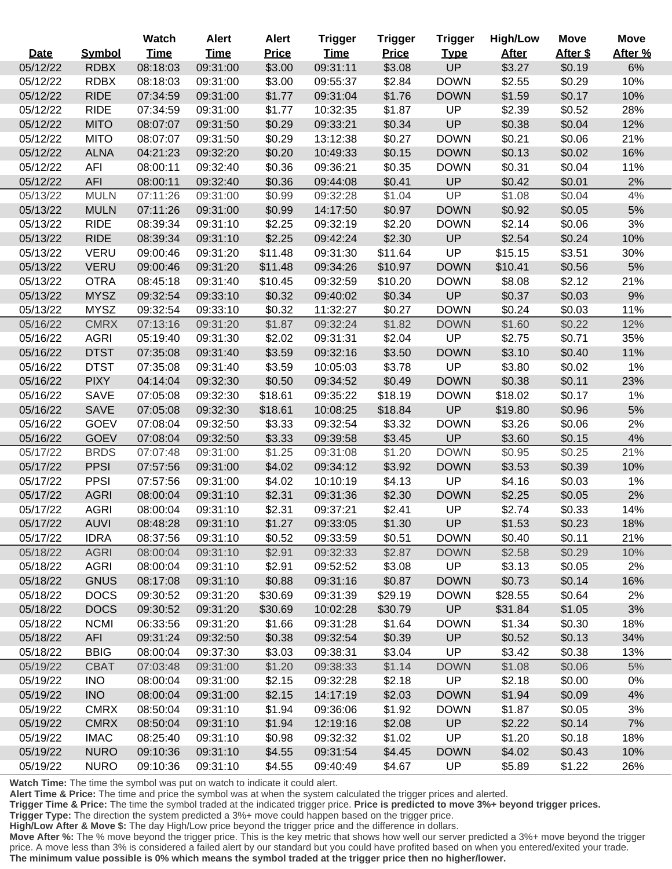|             |               | Watch       | <b>Alert</b> | <b>Alert</b> | <b>Trigger</b> | <b>Trigger</b> | <b>Trigger</b> | <b>High/Low</b> | <b>Move</b> | <b>Move</b> |
|-------------|---------------|-------------|--------------|--------------|----------------|----------------|----------------|-----------------|-------------|-------------|
| <b>Date</b> | <b>Symbol</b> | <b>Time</b> | <b>Time</b>  | <b>Price</b> | <b>Time</b>    | <b>Price</b>   | <b>Type</b>    | <b>After</b>    | After \$    | After %     |
| 05/12/22    | <b>RDBX</b>   | 08:18:03    | 09:31:00     | \$3.00       | 09:31:11       | \$3.08         | <b>UP</b>      | \$3.27          | \$0.19      | 6%          |
| 05/12/22    | <b>RDBX</b>   | 08:18:03    | 09:31:00     | \$3.00       | 09:55:37       | \$2.84         | <b>DOWN</b>    | \$2.55          | \$0.29      | 10%         |
| 05/12/22    | <b>RIDE</b>   | 07:34:59    | 09:31:00     | \$1.77       | 09:31:04       | \$1.76         | <b>DOWN</b>    | \$1.59          | \$0.17      | 10%         |
| 05/12/22    | <b>RIDE</b>   | 07:34:59    | 09:31:00     | \$1.77       | 10:32:35       | \$1.87         | UP             | \$2.39          | \$0.52      | 28%         |
| 05/12/22    | <b>MITO</b>   | 08:07:07    | 09:31:50     | \$0.29       | 09:33:21       | \$0.34         | UP             | \$0.38          | \$0.04      | 12%         |
| 05/12/22    | <b>MITO</b>   | 08:07:07    | 09:31:50     | \$0.29       | 13:12:38       | \$0.27         | <b>DOWN</b>    | \$0.21          | \$0.06      | 21%         |
| 05/12/22    | <b>ALNA</b>   | 04:21:23    | 09:32:20     | \$0.20       | 10:49:33       | \$0.15         | <b>DOWN</b>    | \$0.13          | \$0.02      | 16%         |
| 05/12/22    | AFI           | 08:00:11    | 09:32:40     | \$0.36       | 09:36:21       | \$0.35         | <b>DOWN</b>    | \$0.31          | \$0.04      | 11%         |
| 05/12/22    | <b>AFI</b>    | 08:00:11    | 09:32:40     | \$0.36       | 09:44:08       | \$0.41         | UP             | \$0.42          | \$0.01      | 2%          |
| 05/13/22    | <b>MULN</b>   | 07:11:26    | 09:31:00     | \$0.99       | 09:32:28       | \$1.04         | UP             | \$1.08          | \$0.04      | 4%          |
| 05/13/22    | <b>MULN</b>   | 07:11:26    | 09:31:00     | \$0.99       | 14:17:50       | \$0.97         | <b>DOWN</b>    | \$0.92          | \$0.05      | $5%$        |
| 05/13/22    | <b>RIDE</b>   | 08:39:34    | 09:31:10     | \$2.25       | 09:32:19       | \$2.20         | <b>DOWN</b>    | \$2.14          | \$0.06      | 3%          |
| 05/13/22    | <b>RIDE</b>   | 08:39:34    | 09:31:10     | \$2.25       | 09:42:24       | \$2.30         | UP             | \$2.54          | \$0.24      | 10%         |
| 05/13/22    | <b>VERU</b>   | 09:00:46    | 09:31:20     | \$11.48      | 09:31:30       | \$11.64        | UP             | \$15.15         | \$3.51      | 30%         |
| 05/13/22    | <b>VERU</b>   | 09:00:46    | 09:31:20     | \$11.48      | 09:34:26       | \$10.97        | <b>DOWN</b>    | \$10.41         | \$0.56      | 5%          |
| 05/13/22    | <b>OTRA</b>   | 08:45:18    | 09:31:40     | \$10.45      | 09:32:59       | \$10.20        | <b>DOWN</b>    | \$8.08          | \$2.12      | 21%         |
| 05/13/22    | <b>MYSZ</b>   | 09:32:54    | 09:33:10     | \$0.32       | 09:40:02       | \$0.34         | UP             | \$0.37          | \$0.03      | 9%          |
| 05/13/22    | <b>MYSZ</b>   | 09:32:54    | 09:33:10     | \$0.32       | 11:32:27       | \$0.27         | <b>DOWN</b>    | \$0.24          | \$0.03      | 11%         |
| 05/16/22    | <b>CMRX</b>   | 07:13:16    | 09:31:20     | \$1.87       | 09:32:24       | \$1.82         | <b>DOWN</b>    | \$1.60          | \$0.22      | 12%         |
| 05/16/22    | <b>AGRI</b>   | 05:19:40    | 09:31:30     | \$2.02       | 09:31:31       | \$2.04         | UP             | \$2.75          | \$0.71      | 35%         |
| 05/16/22    | <b>DTST</b>   | 07:35:08    | 09:31:40     | \$3.59       | 09:32:16       | \$3.50         | <b>DOWN</b>    | \$3.10          | \$0.40      | 11%         |
| 05/16/22    | <b>DTST</b>   | 07:35:08    | 09:31:40     | \$3.59       | 10:05:03       | \$3.78         | UP             | \$3.80          | \$0.02      | 1%          |
| 05/16/22    | <b>PIXY</b>   | 04:14:04    | 09:32:30     | \$0.50       | 09:34:52       | \$0.49         | <b>DOWN</b>    | \$0.38          | \$0.11      | 23%         |
| 05/16/22    | <b>SAVE</b>   | 07:05:08    | 09:32:30     | \$18.61      | 09:35:22       | \$18.19        | <b>DOWN</b>    | \$18.02         | \$0.17      | 1%          |
| 05/16/22    | <b>SAVE</b>   | 07:05:08    | 09:32:30     | \$18.61      | 10:08:25       | \$18.84        | UP             | \$19.80         | \$0.96      | $5%$        |
| 05/16/22    | <b>GOEV</b>   | 07:08:04    | 09:32:50     | \$3.33       | 09:32:54       | \$3.32         | <b>DOWN</b>    | \$3.26          | \$0.06      | 2%          |
| 05/16/22    | <b>GOEV</b>   | 07:08:04    | 09:32:50     | \$3.33       | 09:39:58       | \$3.45         | UP             | \$3.60          | \$0.15      | 4%          |
| 05/17/22    | <b>BRDS</b>   | 07:07:48    | 09:31:00     | \$1.25       | 09:31:08       | \$1.20         | <b>DOWN</b>    | \$0.95          | \$0.25      | 21%         |
| 05/17/22    | <b>PPSI</b>   | 07:57:56    | 09:31:00     | \$4.02       | 09:34:12       | \$3.92         | <b>DOWN</b>    | \$3.53          | \$0.39      | 10%         |
| 05/17/22    | <b>PPSI</b>   | 07:57:56    | 09:31:00     | \$4.02       | 10:10:19       | \$4.13         | UP             | \$4.16          | \$0.03      | 1%          |
| 05/17/22    | <b>AGRI</b>   | 08:00:04    | 09:31:10     | \$2.31       | 09:31:36       | \$2.30         | <b>DOWN</b>    | \$2.25          | \$0.05      | 2%          |
| 05/17/22    | <b>AGRI</b>   | 08:00:04    | 09:31:10     | \$2.31       | 09:37:21       | \$2.41         | UP             | \$2.74          | \$0.33      | 14%         |
| 05/17/22    | <b>AUVI</b>   | 08:48:28    | 09:31:10     | \$1.27       | 09:33:05       | \$1.30         | UP             | \$1.53          | \$0.23      | 18%         |
| 05/17/22    | <b>IDRA</b>   | 08:37:56    | 09:31:10     | \$0.52       | 09:33:59       | \$0.51         | <b>DOWN</b>    | \$0.40          | \$0.11      | 21%         |
| 05/18/22    | <b>AGRI</b>   | 08:00:04    | 09:31:10     | \$2.91       | 09:32:33       | \$2.87         | <b>DOWN</b>    | \$2.58          | \$0.29      | 10%         |
| 05/18/22    | <b>AGRI</b>   | 08:00:04    | 09:31:10     | \$2.91       | 09:52:52       | \$3.08         | UP             | \$3.13          | \$0.05      | 2%          |
| 05/18/22    | <b>GNUS</b>   | 08:17:08    | 09:31:10     | \$0.88       | 09:31:16       | \$0.87         | <b>DOWN</b>    | \$0.73          | \$0.14      | 16%         |
| 05/18/22    | <b>DOCS</b>   | 09:30:52    | 09:31:20     | \$30.69      | 09:31:39       | \$29.19        | <b>DOWN</b>    | \$28.55         | \$0.64      | 2%          |
| 05/18/22    | <b>DOCS</b>   | 09:30:52    | 09:31:20     | \$30.69      | 10:02:28       | \$30.79        | UP             | \$31.84         | \$1.05      | 3%          |
| 05/18/22    | <b>NCMI</b>   | 06:33:56    | 09:31:20     | \$1.66       | 09:31:28       | \$1.64         | <b>DOWN</b>    | \$1.34          | \$0.30      | 18%         |
| 05/18/22    | AFI           | 09:31:24    | 09:32:50     | \$0.38       | 09:32:54       | \$0.39         | <b>UP</b>      | \$0.52          | \$0.13      | 34%         |
| 05/18/22    | <b>BBIG</b>   | 08:00:04    | 09:37:30     | \$3.03       | 09:38:31       | \$3.04         | UP             | \$3.42          | \$0.38      | 13%         |
| 05/19/22    | <b>CBAT</b>   | 07:03:48    | 09:31:00     | \$1.20       | 09:38:33       | \$1.14         | <b>DOWN</b>    | \$1.08          | \$0.06      | $5%$        |
| 05/19/22    | <b>INO</b>    | 08:00:04    | 09:31:00     | \$2.15       | 09:32:28       | \$2.18         | UP             | \$2.18          | \$0.00      | $0\%$       |
| 05/19/22    | <b>INO</b>    | 08:00:04    | 09:31:00     | \$2.15       | 14:17:19       | \$2.03         | <b>DOWN</b>    | \$1.94          | \$0.09      | 4%          |
| 05/19/22    | <b>CMRX</b>   | 08:50:04    | 09:31:10     | \$1.94       | 09:36:06       | \$1.92         | <b>DOWN</b>    | \$1.87          | \$0.05      | 3%          |
| 05/19/22    | <b>CMRX</b>   | 08:50:04    | 09:31:10     | \$1.94       | 12:19:16       | \$2.08         | <b>UP</b>      | \$2.22          | \$0.14      | 7%          |
| 05/19/22    | <b>IMAC</b>   | 08:25:40    | 09:31:10     | \$0.98       | 09:32:32       | \$1.02         | <b>UP</b>      | \$1.20          | \$0.18      | 18%         |
| 05/19/22    | <b>NURO</b>   | 09:10:36    | 09:31:10     | \$4.55       | 09:31:54       | \$4.45         | <b>DOWN</b>    | \$4.02          | \$0.43      | 10%         |
| 05/19/22    | <b>NURO</b>   | 09:10:36    | 09:31:10     | \$4.55       | 09:40:49       | \$4.67         | UP             | \$5.89          | \$1.22      | 26%         |

ī

 $\overline{a}$ 

Ī

**Alert Time & Price:** The time and price the symbol was at when the system calculated the trigger prices and alerted.

**Trigger Time & Price:** The time the symbol traded at the indicated trigger price. **Price is predicted to move 3%+ beyond trigger prices.**

**Trigger Type:** The direction the system predicted a 3%+ move could happen based on the trigger price.

**High/Low After & Move \$:** The day High/Low price beyond the trigger price and the difference in dollars.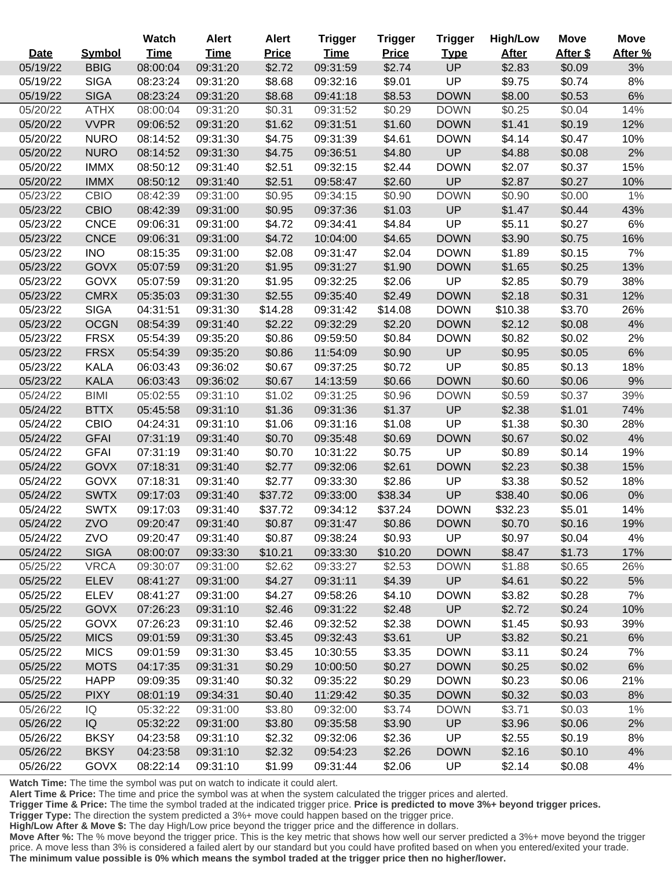|             |                | Watch       | <b>Alert</b> | <b>Alert</b> | <b>Trigger</b> | <b>Trigger</b> | <b>Trigger</b> | <b>High/Low</b> | <b>Move</b> | <b>Move</b> |
|-------------|----------------|-------------|--------------|--------------|----------------|----------------|----------------|-----------------|-------------|-------------|
| <b>Date</b> | <b>Symbol</b>  | <b>Time</b> | <b>Time</b>  | <b>Price</b> | <b>Time</b>    | <b>Price</b>   | <b>Type</b>    | <b>After</b>    | After \$    | After %     |
| 05/19/22    | <b>BBIG</b>    | 08:00:04    | 09:31:20     | \$2.72       | 09:31:59       | \$2.74         | <b>UP</b>      | \$2.83          | \$0.09      | 3%          |
| 05/19/22    | <b>SIGA</b>    | 08:23:24    | 09:31:20     | \$8.68       | 09:32:16       | \$9.01         | UP             | \$9.75          | \$0.74      | 8%          |
| 05/19/22    | <b>SIGA</b>    | 08:23:24    | 09:31:20     | \$8.68       | 09:41:18       | \$8.53         | <b>DOWN</b>    | \$8.00          | \$0.53      | 6%          |
| 05/20/22    | <b>ATHX</b>    | 08:00:04    | 09:31:20     | \$0.31       | 09:31:52       | \$0.29         | <b>DOWN</b>    | \$0.25          | \$0.04      | 14%         |
| 05/20/22    | <b>VVPR</b>    | 09:06:52    | 09:31:20     | \$1.62       | 09:31:51       | \$1.60         | <b>DOWN</b>    | \$1.41          | \$0.19      | 12%         |
| 05/20/22    | <b>NURO</b>    | 08:14:52    | 09:31:30     | \$4.75       | 09:31:39       | \$4.61         | <b>DOWN</b>    | \$4.14          | \$0.47      | 10%         |
| 05/20/22    | <b>NURO</b>    | 08:14:52    | 09:31:30     | \$4.75       | 09:36:51       | \$4.80         | UP             | \$4.88          | \$0.08      | 2%          |
| 05/20/22    | <b>IMMX</b>    | 08:50:12    | 09:31:40     | \$2.51       | 09:32:15       | \$2.44         | <b>DOWN</b>    | \$2.07          | \$0.37      | 15%         |
| 05/20/22    | <b>IMMX</b>    | 08:50:12    | 09:31:40     | \$2.51       | 09:58:47       | \$2.60         | UP             | \$2.87          | \$0.27      | 10%         |
| 05/23/22    | <b>CBIO</b>    | 08:42:39    | 09:31:00     | \$0.95       | 09:34:15       | \$0.90         | <b>DOWN</b>    | \$0.90          | \$0.00      | 1%          |
| 05/23/22    | <b>CBIO</b>    | 08:42:39    | 09:31:00     | \$0.95       | 09:37:36       | \$1.03         | <b>UP</b>      | \$1.47          | \$0.44      | 43%         |
| 05/23/22    | <b>CNCE</b>    | 09:06:31    | 09:31:00     | \$4.72       | 09:34:41       | \$4.84         | <b>UP</b>      | \$5.11          | \$0.27      | 6%          |
| 05/23/22    | <b>CNCE</b>    | 09:06:31    | 09:31:00     | \$4.72       | 10:04:00       | \$4.65         | <b>DOWN</b>    | \$3.90          | \$0.75      | 16%         |
| 05/23/22    | <b>INO</b>     | 08:15:35    | 09:31:00     | \$2.08       | 09:31:47       | \$2.04         | <b>DOWN</b>    | \$1.89          | \$0.15      | 7%          |
| 05/23/22    | <b>GOVX</b>    | 05:07:59    | 09:31:20     | \$1.95       | 09:31:27       | \$1.90         | <b>DOWN</b>    | \$1.65          | \$0.25      | 13%         |
| 05/23/22    | GOVX           | 05:07:59    | 09:31:20     | \$1.95       | 09:32:25       | \$2.06         | <b>UP</b>      | \$2.85          | \$0.79      | 38%         |
| 05/23/22    | <b>CMRX</b>    | 05:35:03    | 09:31:30     | \$2.55       | 09:35:40       | \$2.49         | <b>DOWN</b>    | \$2.18          | \$0.31      | 12%         |
| 05/23/22    | <b>SIGA</b>    | 04:31:51    | 09:31:30     | \$14.28      | 09:31:42       | \$14.08        | <b>DOWN</b>    | \$10.38         | \$3.70      | 26%         |
| 05/23/22    | <b>OCGN</b>    | 08:54:39    | 09:31:40     | \$2.22       | 09:32:29       | \$2.20         | <b>DOWN</b>    | \$2.12          | \$0.08      | 4%          |
| 05/23/22    | <b>FRSX</b>    | 05:54:39    | 09:35:20     | \$0.86       | 09:59:50       | \$0.84         | <b>DOWN</b>    | \$0.82          | \$0.02      | 2%          |
| 05/23/22    | <b>FRSX</b>    | 05:54:39    | 09:35:20     | \$0.86       | 11:54:09       | \$0.90         | <b>UP</b>      | \$0.95          | \$0.05      | $6\%$       |
| 05/23/22    | <b>KALA</b>    | 06:03:43    | 09:36:02     | \$0.67       | 09:37:25       | \$0.72         | UP             | \$0.85          | \$0.13      | 18%         |
| 05/23/22    | <b>KALA</b>    | 06:03:43    | 09:36:02     | \$0.67       | 14:13:59       | \$0.66         | <b>DOWN</b>    | \$0.60          | \$0.06      | 9%          |
| 05/24/22    | <b>BIMI</b>    | 05:02:55    | 09:31:10     | \$1.02       | 09:31:25       | \$0.96         | <b>DOWN</b>    | \$0.59          | \$0.37      | 39%         |
| 05/24/22    | <b>BTTX</b>    | 05:45:58    | 09:31:10     | \$1.36       | 09:31:36       | \$1.37         | UP             | \$2.38          | \$1.01      | 74%         |
| 05/24/22    | <b>CBIO</b>    | 04:24:31    | 09:31:10     | \$1.06       | 09:31:16       | \$1.08         | UP             | \$1.38          | \$0.30      | 28%         |
| 05/24/22    | <b>GFAI</b>    | 07:31:19    | 09:31:40     | \$0.70       | 09:35:48       | \$0.69         | <b>DOWN</b>    | \$0.67          | \$0.02      | 4%          |
| 05/24/22    | <b>GFAI</b>    | 07:31:19    | 09:31:40     | \$0.70       | 10:31:22       | \$0.75         | <b>UP</b>      | \$0.89          | \$0.14      | 19%         |
| 05/24/22    | <b>GOVX</b>    | 07:18:31    | 09:31:40     | \$2.77       | 09:32:06       | \$2.61         | <b>DOWN</b>    | \$2.23          | \$0.38      | 15%         |
| 05/24/22    | <b>GOVX</b>    | 07:18:31    | 09:31:40     | \$2.77       | 09:33:30       | \$2.86         | UP             | \$3.38          | \$0.52      | 18%         |
| 05/24/22    | <b>SWTX</b>    | 09:17:03    | 09:31:40     | \$37.72      | 09:33:00       | \$38.34        | <b>UP</b>      | \$38.40         | \$0.06      | 0%          |
| 05/24/22    | <b>SWTX</b>    | 09:17:03    | 09:31:40     | \$37.72      | 09:34:12       | \$37.24        | <b>DOWN</b>    | \$32.23         | \$5.01      | 14%         |
| 05/24/22    | ZVO            | 09:20:47    | 09:31:40     | \$0.87       | 09:31:47       | \$0.86         | <b>DOWN</b>    | \$0.70          | \$0.16      | 19%         |
| 05/24/22    | ZVO            | 09:20:47    | 09:31:40     | \$0.87       | 09:38:24       | \$0.93         | <b>UP</b>      | \$0.97          | \$0.04      | 4%          |
| 05/24/22    | <b>SIGA</b>    | 08:00:07    | 09:33:30     | \$10.21      | 09:33:30       | \$10.20        | <b>DOWN</b>    | \$8.47          | \$1.73      | 17%         |
| 05/25/22    | <b>VRCA</b>    | 09:30:07    | 09:31:00     | \$2.62       | 09:33:27       | \$2.53         | <b>DOWN</b>    | \$1.88          | \$0.65      | 26%         |
| 05/25/22    | <b>ELEV</b>    | 08:41:27    | 09:31:00     | \$4.27       | 09:31:11       | \$4.39         | UP             | \$4.61          | \$0.22      | 5%          |
| 05/25/22    | <b>ELEV</b>    | 08:41:27    | 09:31:00     | \$4.27       | 09:58:26       | \$4.10         | <b>DOWN</b>    | \$3.82          | \$0.28      | 7%          |
| 05/25/22    | <b>GOVX</b>    | 07:26:23    | 09:31:10     | \$2.46       | 09:31:22       | \$2.48         | UP             | \$2.72          | \$0.24      | 10%         |
| 05/25/22    | <b>GOVX</b>    | 07:26:23    | 09:31:10     | \$2.46       | 09:32:52       | \$2.38         | <b>DOWN</b>    | \$1.45          | \$0.93      | 39%         |
| 05/25/22    | <b>MICS</b>    | 09:01:59    | 09:31:30     | \$3.45       | 09:32:43       | \$3.61         | <b>UP</b>      | \$3.82          | \$0.21      | 6%          |
| 05/25/22    | <b>MICS</b>    | 09:01:59    | 09:31:30     | \$3.45       | 10:30:55       | \$3.35         | <b>DOWN</b>    | \$3.11          | \$0.24      | 7%          |
| 05/25/22    | <b>MOTS</b>    | 04:17:35    | 09:31:31     | \$0.29       | 10:00:50       | \$0.27         | <b>DOWN</b>    | \$0.25          | \$0.02      | 6%          |
| 05/25/22    | <b>HAPP</b>    | 09:09:35    | 09:31:40     | \$0.32       | 09:35:22       | \$0.29         | <b>DOWN</b>    | \$0.23          | \$0.06      | 21%         |
| 05/25/22    | <b>PIXY</b>    | 08:01:19    | 09:34:31     | \$0.40       | 11:29:42       | \$0.35         | <b>DOWN</b>    | \$0.32          | \$0.03      | 8%          |
| 05/26/22    | $\overline{Q}$ | 05:32:22    | 09:31:00     | \$3.80       | 09:32:00       | \$3.74         | <b>DOWN</b>    | \$3.71          | \$0.03      | 1%          |
| 05/26/22    | IQ             | 05:32:22    | 09:31:00     | \$3.80       | 09:35:58       | \$3.90         | <b>UP</b>      | \$3.96          | \$0.06      | 2%          |
| 05/26/22    | <b>BKSY</b>    | 04:23:58    | 09:31:10     | \$2.32       | 09:32:06       | \$2.36         | UP             | \$2.55          | \$0.19      | 8%          |
| 05/26/22    | <b>BKSY</b>    | 04:23:58    | 09:31:10     | \$2.32       | 09:54:23       | \$2.26         | <b>DOWN</b>    | \$2.16          | \$0.10      | 4%          |
| 05/26/22    | <b>GOVX</b>    | 08:22:14    | 09:31:10     | \$1.99       | 09:31:44       | \$2.06         | UP             | \$2.14          | \$0.08      | 4%          |

 $\overline{a}$ 

 $\overline{a}$ 

**Alert Time & Price:** The time and price the symbol was at when the system calculated the trigger prices and alerted.

**Trigger Time & Price:** The time the symbol traded at the indicated trigger price. **Price is predicted to move 3%+ beyond trigger prices.**

**Trigger Type:** The direction the system predicted a 3%+ move could happen based on the trigger price.

**High/Low After & Move \$:** The day High/Low price beyond the trigger price and the difference in dollars.